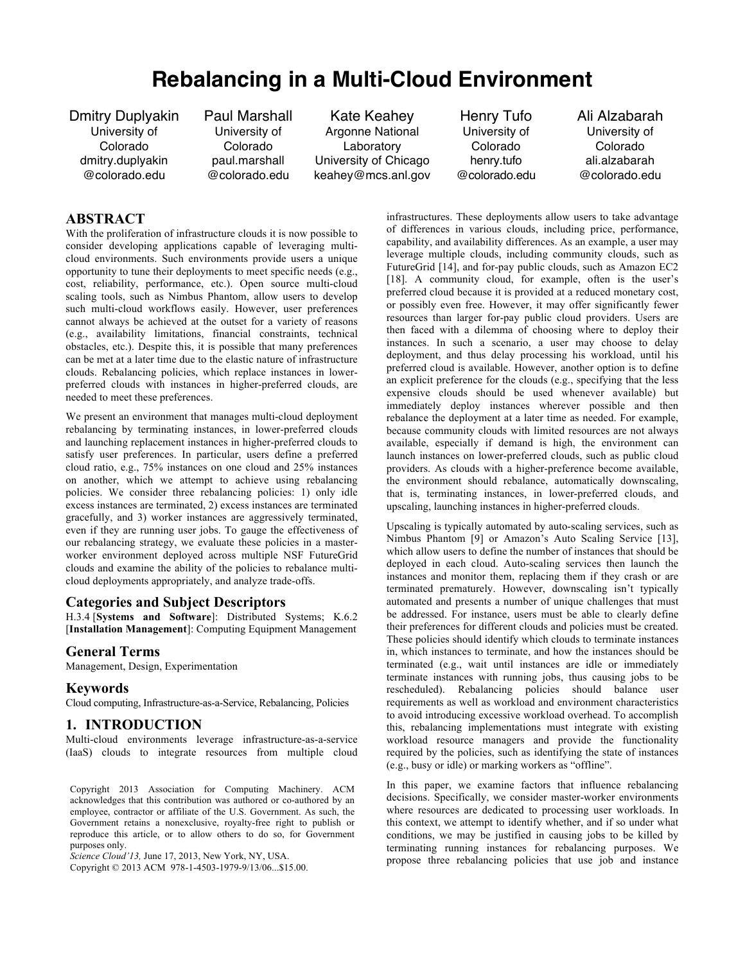# **Rebalancing in a Multi-Cloud Environment**

Dmitry Duplyakin University of Colorado dmitry.duplyakin @colorado.edu

Paul Marshall University of Colorado paul.marshall @colorado.edu

Kate Keahey Argonne National Laboratory University of Chicago keahey@mcs.anl.gov

Henry Tufo University of Colorado henry.tufo @colorado.edu Ali Alzabarah University of Colorado ali.alzabarah @colorado.edu

# **ABSTRACT**

With the proliferation of infrastructure clouds it is now possible to consider developing applications capable of leveraging multicloud environments. Such environments provide users a unique opportunity to tune their deployments to meet specific needs (e.g., cost, reliability, performance, etc.). Open source multi-cloud scaling tools, such as Nimbus Phantom, allow users to develop such multi-cloud workflows easily. However, user preferences cannot always be achieved at the outset for a variety of reasons (e.g., availability limitations, financial constraints, technical obstacles, etc.). Despite this, it is possible that many preferences can be met at a later time due to the elastic nature of infrastructure clouds. Rebalancing policies, which replace instances in lowerpreferred clouds with instances in higher-preferred clouds, are needed to meet these preferences.

We present an environment that manages multi-cloud deployment rebalancing by terminating instances, in lower-preferred clouds and launching replacement instances in higher-preferred clouds to satisfy user preferences. In particular, users define a preferred cloud ratio, e.g., 75% instances on one cloud and 25% instances on another, which we attempt to achieve using rebalancing policies. We consider three rebalancing policies: 1) only idle excess instances are terminated, 2) excess instances are terminated gracefully, and 3) worker instances are aggressively terminated, even if they are running user jobs. To gauge the effectiveness of our rebalancing strategy, we evaluate these policies in a masterworker environment deployed across multiple NSF FutureGrid clouds and examine the ability of the policies to rebalance multicloud deployments appropriately, and analyze trade-offs.

# **Categories and Subject Descriptors**

H.3.4 [**Systems and Software**]: Distributed Systems; K.6.2 [**Installation Management**]: Computing Equipment Management

## **General Terms**

Management, Design, Experimentation

## **Keywords**

Cloud computing, Infrastructure-as-a-Service, Rebalancing, Policies

# **1. INTRODUCTION**

Multi-cloud environments leverage infrastructure-as-a-service (IaaS) clouds to integrate resources from multiple cloud

Copyright 2013 Association for Computing Machinery. ACM acknowledges that this contribution was authored or co-authored by an employee, contractor or affiliate of the U.S. Government. As such, the Government retains a nonexclusive, royalty-free right to publish or reproduce this article, or to allow others to do so, for Government purposes only.

*Science Cloud'13,* June 17, 2013, New York, NY, USA.

Copyright © 2013 ACM 978-1-4503-1979-9/13/06...\$15.00.

infrastructures. These deployments allow users to take advantage of differences in various clouds, including price, performance, capability, and availability differences. As an example, a user may leverage multiple clouds, including community clouds, such as FutureGrid [14], and for-pay public clouds, such as Amazon EC2 [18]. A community cloud, for example, often is the user's preferred cloud because it is provided at a reduced monetary cost, or possibly even free. However, it may offer significantly fewer resources than larger for-pay public cloud providers. Users are then faced with a dilemma of choosing where to deploy their instances. In such a scenario, a user may choose to delay deployment, and thus delay processing his workload, until his preferred cloud is available. However, another option is to define an explicit preference for the clouds (e.g., specifying that the less expensive clouds should be used whenever available) but immediately deploy instances wherever possible and then rebalance the deployment at a later time as needed. For example, because community clouds with limited resources are not always available, especially if demand is high, the environment can launch instances on lower-preferred clouds, such as public cloud providers. As clouds with a higher-preference become available, the environment should rebalance, automatically downscaling, that is, terminating instances, in lower-preferred clouds, and upscaling, launching instances in higher-preferred clouds.

Upscaling is typically automated by auto-scaling services, such as Nimbus Phantom [9] or Amazon's Auto Scaling Service [13], which allow users to define the number of instances that should be deployed in each cloud. Auto-scaling services then launch the instances and monitor them, replacing them if they crash or are terminated prematurely. However, downscaling isn't typically automated and presents a number of unique challenges that must be addressed. For instance, users must be able to clearly define their preferences for different clouds and policies must be created. These policies should identify which clouds to terminate instances in, which instances to terminate, and how the instances should be terminated (e.g., wait until instances are idle or immediately terminate instances with running jobs, thus causing jobs to be rescheduled). Rebalancing policies should balance user requirements as well as workload and environment characteristics to avoid introducing excessive workload overhead. To accomplish this, rebalancing implementations must integrate with existing workload resource managers and provide the functionality required by the policies, such as identifying the state of instances (e.g., busy or idle) or marking workers as "offline".

In this paper, we examine factors that influence rebalancing decisions. Specifically, we consider master-worker environments where resources are dedicated to processing user workloads. In this context, we attempt to identify whether, and if so under what conditions, we may be justified in causing jobs to be killed by terminating running instances for rebalancing purposes. We propose three rebalancing policies that use job and instance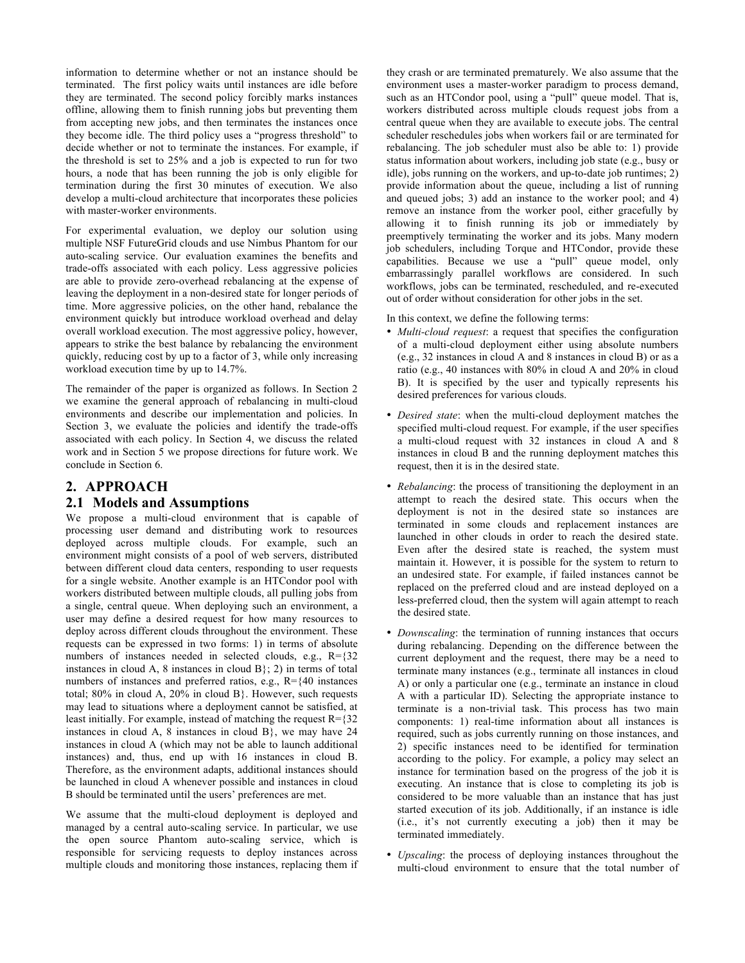information to determine whether or not an instance should be terminated. The first policy waits until instances are idle before they are terminated. The second policy forcibly marks instances offline, allowing them to finish running jobs but preventing them from accepting new jobs, and then terminates the instances once they become idle. The third policy uses a "progress threshold" to decide whether or not to terminate the instances. For example, if the threshold is set to 25% and a job is expected to run for two hours, a node that has been running the job is only eligible for termination during the first 30 minutes of execution. We also develop a multi-cloud architecture that incorporates these policies with master-worker environments.

For experimental evaluation, we deploy our solution using multiple NSF FutureGrid clouds and use Nimbus Phantom for our auto-scaling service. Our evaluation examines the benefits and trade-offs associated with each policy. Less aggressive policies are able to provide zero-overhead rebalancing at the expense of leaving the deployment in a non-desired state for longer periods of time. More aggressive policies, on the other hand, rebalance the environment quickly but introduce workload overhead and delay overall workload execution. The most aggressive policy, however, appears to strike the best balance by rebalancing the environment quickly, reducing cost by up to a factor of 3, while only increasing workload execution time by up to 14.7%.

The remainder of the paper is organized as follows. In Section 2 we examine the general approach of rebalancing in multi-cloud environments and describe our implementation and policies. In Section 3, we evaluate the policies and identify the trade-offs associated with each policy. In Section 4, we discuss the related work and in Section 5 we propose directions for future work. We conclude in Section 6.

# **2. APPROACH**

# **2.1 Models and Assumptions**

We propose a multi-cloud environment that is capable of processing user demand and distributing work to resources deployed across multiple clouds. For example, such an environment might consists of a pool of web servers, distributed between different cloud data centers, responding to user requests for a single website. Another example is an HTCondor pool with workers distributed between multiple clouds, all pulling jobs from a single, central queue. When deploying such an environment, a user may define a desired request for how many resources to deploy across different clouds throughout the environment. These requests can be expressed in two forms: 1) in terms of absolute numbers of instances needed in selected clouds, e.g.,  $R = \{32, \ldots, n\}$ instances in cloud A, 8 instances in cloud B}; 2) in terms of total numbers of instances and preferred ratios, e.g., R={40 instances total; 80% in cloud A, 20% in cloud B}. However, such requests may lead to situations where a deployment cannot be satisfied, at least initially. For example, instead of matching the request  $R = \{32\}$ instances in cloud A, 8 instances in cloud B}, we may have 24 instances in cloud A (which may not be able to launch additional instances) and, thus, end up with 16 instances in cloud B. Therefore, as the environment adapts, additional instances should be launched in cloud A whenever possible and instances in cloud B should be terminated until the users' preferences are met.

We assume that the multi-cloud deployment is deployed and managed by a central auto-scaling service. In particular, we use the open source Phantom auto-scaling service, which is responsible for servicing requests to deploy instances across multiple clouds and monitoring those instances, replacing them if

they crash or are terminated prematurely. We also assume that the environment uses a master-worker paradigm to process demand, such as an HTCondor pool, using a "pull" queue model. That is, workers distributed across multiple clouds request jobs from a central queue when they are available to execute jobs. The central scheduler reschedules jobs when workers fail or are terminated for rebalancing. The job scheduler must also be able to: 1) provide status information about workers, including job state (e.g., busy or idle), jobs running on the workers, and up-to-date job runtimes; 2) provide information about the queue, including a list of running and queued jobs; 3) add an instance to the worker pool; and 4) remove an instance from the worker pool, either gracefully by allowing it to finish running its job or immediately by preemptively terminating the worker and its jobs. Many modern job schedulers, including Torque and HTCondor, provide these capabilities. Because we use a "pull" queue model, only embarrassingly parallel workflows are considered. In such workflows, jobs can be terminated, rescheduled, and re-executed out of order without consideration for other jobs in the set.

In this context, we define the following terms:

- *Multi-cloud request*: a request that specifies the configuration of a multi-cloud deployment either using absolute numbers (e.g., 32 instances in cloud A and 8 instances in cloud B) or as a ratio (e.g., 40 instances with 80% in cloud A and 20% in cloud B). It is specified by the user and typically represents his desired preferences for various clouds.
- *Desired state*: when the multi-cloud deployment matches the specified multi-cloud request. For example, if the user specifies a multi-cloud request with 32 instances in cloud A and 8 instances in cloud B and the running deployment matches this request, then it is in the desired state.
- *Rebalancing*: the process of transitioning the deployment in an attempt to reach the desired state. This occurs when the deployment is not in the desired state so instances are terminated in some clouds and replacement instances are launched in other clouds in order to reach the desired state. Even after the desired state is reached, the system must maintain it. However, it is possible for the system to return to an undesired state. For example, if failed instances cannot be replaced on the preferred cloud and are instead deployed on a less-preferred cloud, then the system will again attempt to reach the desired state.
- *Downscaling*: the termination of running instances that occurs during rebalancing. Depending on the difference between the current deployment and the request, there may be a need to terminate many instances (e.g., terminate all instances in cloud A) or only a particular one (e.g., terminate an instance in cloud A with a particular ID). Selecting the appropriate instance to terminate is a non-trivial task. This process has two main components: 1) real-time information about all instances is required, such as jobs currently running on those instances, and 2) specific instances need to be identified for termination according to the policy. For example, a policy may select an instance for termination based on the progress of the job it is executing. An instance that is close to completing its job is considered to be more valuable than an instance that has just started execution of its job. Additionally, if an instance is idle (i.e., it's not currently executing a job) then it may be terminated immediately.
- *Upscaling*: the process of deploying instances throughout the multi-cloud environment to ensure that the total number of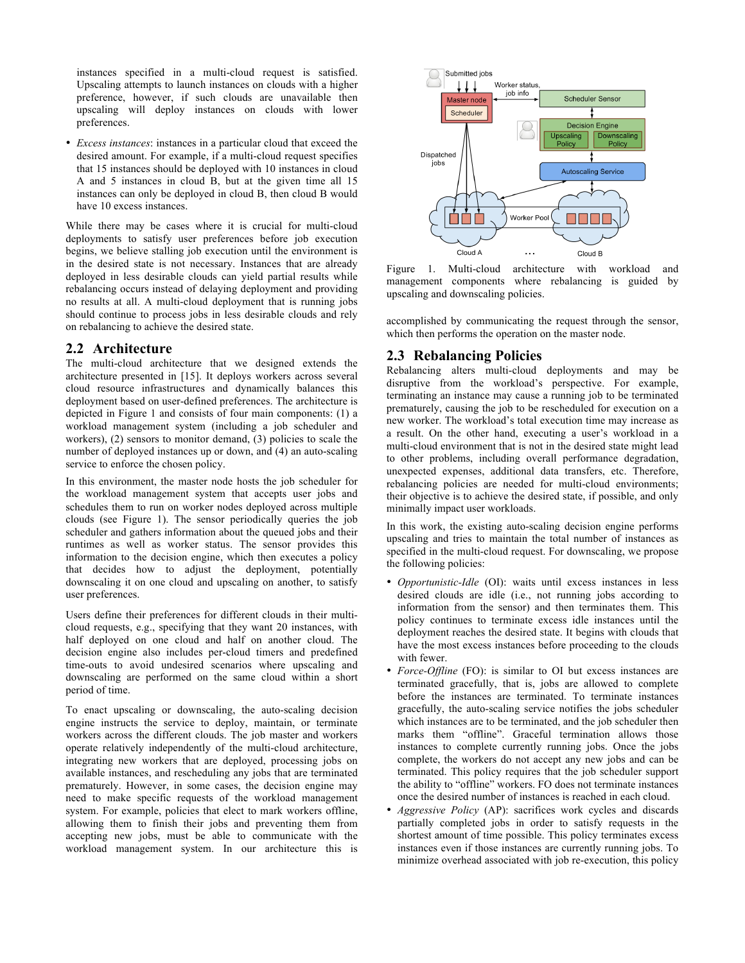instances specified in a multi-cloud request is satisfied. Upscaling attempts to launch instances on clouds with a higher preference, however, if such clouds are unavailable then upscaling will deploy instances on clouds with lower preferences.

• *Excess instances*: instances in a particular cloud that exceed the desired amount. For example, if a multi-cloud request specifies that 15 instances should be deployed with 10 instances in cloud A and 5 instances in cloud B, but at the given time all 15 instances can only be deployed in cloud B, then cloud B would have 10 excess instances.

While there may be cases where it is crucial for multi-cloud deployments to satisfy user preferences before job execution begins, we believe stalling job execution until the environment is in the desired state is not necessary. Instances that are already deployed in less desirable clouds can yield partial results while rebalancing occurs instead of delaying deployment and providing no results at all. A multi-cloud deployment that is running jobs should continue to process jobs in less desirable clouds and rely on rebalancing to achieve the desired state.

## **2.2 Architecture**

The multi-cloud architecture that we designed extends the architecture presented in [15]. It deploys workers across several cloud resource infrastructures and dynamically balances this deployment based on user-defined preferences. The architecture is depicted in Figure 1 and consists of four main components: (1) a workload management system (including a job scheduler and workers), (2) sensors to monitor demand, (3) policies to scale the number of deployed instances up or down, and (4) an auto-scaling service to enforce the chosen policy.

In this environment, the master node hosts the job scheduler for the workload management system that accepts user jobs and schedules them to run on worker nodes deployed across multiple clouds (see Figure 1). The sensor periodically queries the job scheduler and gathers information about the queued jobs and their runtimes as well as worker status. The sensor provides this information to the decision engine, which then executes a policy that decides how to adjust the deployment, potentially downscaling it on one cloud and upscaling on another, to satisfy user preferences.

Users define their preferences for different clouds in their multicloud requests, e.g., specifying that they want 20 instances, with half deployed on one cloud and half on another cloud. The decision engine also includes per-cloud timers and predefined time-outs to avoid undesired scenarios where upscaling and downscaling are performed on the same cloud within a short period of time.

To enact upscaling or downscaling, the auto-scaling decision engine instructs the service to deploy, maintain, or terminate workers across the different clouds. The job master and workers operate relatively independently of the multi-cloud architecture, integrating new workers that are deployed, processing jobs on available instances, and rescheduling any jobs that are terminated prematurely. However, in some cases, the decision engine may need to make specific requests of the workload management system. For example, policies that elect to mark workers offline, allowing them to finish their jobs and preventing them from accepting new jobs, must be able to communicate with the workload management system. In our architecture this is



Figure 1. Multi-cloud architecture with workload and management components where rebalancing is guided by upscaling and downscaling policies.

accomplished by communicating the request through the sensor, which then performs the operation on the master node.

# **2.3 Rebalancing Policies**

Rebalancing alters multi-cloud deployments and may be disruptive from the workload's perspective. For example, terminating an instance may cause a running job to be terminated prematurely, causing the job to be rescheduled for execution on a new worker. The workload's total execution time may increase as a result. On the other hand, executing a user's workload in a multi-cloud environment that is not in the desired state might lead to other problems, including overall performance degradation, unexpected expenses, additional data transfers, etc. Therefore, rebalancing policies are needed for multi-cloud environments; their objective is to achieve the desired state, if possible, and only minimally impact user workloads.

In this work, the existing auto-scaling decision engine performs upscaling and tries to maintain the total number of instances as specified in the multi-cloud request. For downscaling, we propose the following policies:

- *Opportunistic-Idle* (OI): waits until excess instances in less desired clouds are idle (i.e., not running jobs according to information from the sensor) and then terminates them. This policy continues to terminate excess idle instances until the deployment reaches the desired state. It begins with clouds that have the most excess instances before proceeding to the clouds with fewer.
- *Force-Offline* (FO): is similar to OI but excess instances are terminated gracefully, that is, jobs are allowed to complete before the instances are terminated. To terminate instances gracefully, the auto-scaling service notifies the jobs scheduler which instances are to be terminated, and the job scheduler then marks them "offline". Graceful termination allows those instances to complete currently running jobs. Once the jobs complete, the workers do not accept any new jobs and can be terminated. This policy requires that the job scheduler support the ability to "offline" workers. FO does not terminate instances once the desired number of instances is reached in each cloud.
- *Aggressive Policy* (AP): sacrifices work cycles and discards partially completed jobs in order to satisfy requests in the shortest amount of time possible. This policy terminates excess instances even if those instances are currently running jobs. To minimize overhead associated with job re-execution, this policy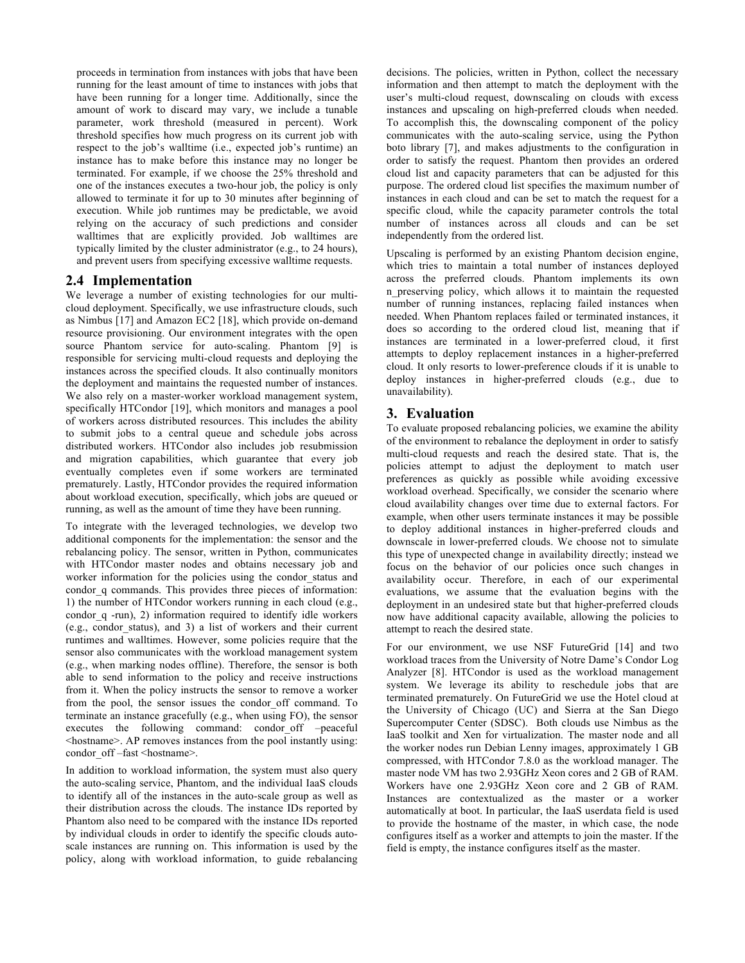proceeds in termination from instances with jobs that have been running for the least amount of time to instances with jobs that have been running for a longer time. Additionally, since the amount of work to discard may vary, we include a tunable parameter, work threshold (measured in percent). Work threshold specifies how much progress on its current job with respect to the job's walltime (i.e., expected job's runtime) an instance has to make before this instance may no longer be terminated. For example, if we choose the 25% threshold and one of the instances executes a two-hour job, the policy is only allowed to terminate it for up to 30 minutes after beginning of execution. While job runtimes may be predictable, we avoid relying on the accuracy of such predictions and consider walltimes that are explicitly provided. Job walltimes are typically limited by the cluster administrator (e.g., to 24 hours), and prevent users from specifying excessive walltime requests.

# **2.4 Implementation**

We leverage a number of existing technologies for our multicloud deployment. Specifically, we use infrastructure clouds, such as Nimbus [17] and Amazon EC2 [18], which provide on-demand resource provisioning. Our environment integrates with the open source Phantom service for auto-scaling. Phantom [9] is responsible for servicing multi-cloud requests and deploying the instances across the specified clouds. It also continually monitors the deployment and maintains the requested number of instances. We also rely on a master-worker workload management system, specifically HTCondor [19], which monitors and manages a pool of workers across distributed resources. This includes the ability to submit jobs to a central queue and schedule jobs across distributed workers. HTCondor also includes job resubmission and migration capabilities, which guarantee that every job eventually completes even if some workers are terminated prematurely. Lastly, HTCondor provides the required information about workload execution, specifically, which jobs are queued or running, as well as the amount of time they have been running.

To integrate with the leveraged technologies, we develop two additional components for the implementation: the sensor and the rebalancing policy. The sensor, written in Python, communicates with HTCondor master nodes and obtains necessary job and worker information for the policies using the condor status and condor q commands. This provides three pieces of information: 1) the number of HTCondor workers running in each cloud (e.g., condor q -run), 2) information required to identify idle workers (e.g., condor\_status), and 3) a list of workers and their current runtimes and walltimes. However, some policies require that the sensor also communicates with the workload management system (e.g., when marking nodes offline). Therefore, the sensor is both able to send information to the policy and receive instructions from it. When the policy instructs the sensor to remove a worker from the pool, the sensor issues the condor\_off command. To terminate an instance gracefully (e.g., when using FO), the sensor executes the following command: condor off –peaceful <hostname>. AP removes instances from the pool instantly using: condor off –fast <hostname>.

In addition to workload information, the system must also query the auto-scaling service, Phantom, and the individual IaaS clouds to identify all of the instances in the auto-scale group as well as their distribution across the clouds. The instance IDs reported by Phantom also need to be compared with the instance IDs reported by individual clouds in order to identify the specific clouds autoscale instances are running on. This information is used by the policy, along with workload information, to guide rebalancing decisions. The policies, written in Python, collect the necessary information and then attempt to match the deployment with the user's multi-cloud request, downscaling on clouds with excess instances and upscaling on high-preferred clouds when needed. To accomplish this, the downscaling component of the policy communicates with the auto-scaling service, using the Python boto library [7], and makes adjustments to the configuration in order to satisfy the request. Phantom then provides an ordered cloud list and capacity parameters that can be adjusted for this purpose. The ordered cloud list specifies the maximum number of instances in each cloud and can be set to match the request for a specific cloud, while the capacity parameter controls the total number of instances across all clouds and can be set independently from the ordered list.

Upscaling is performed by an existing Phantom decision engine, which tries to maintain a total number of instances deployed across the preferred clouds. Phantom implements its own n preserving policy, which allows it to maintain the requested number of running instances, replacing failed instances when needed. When Phantom replaces failed or terminated instances, it does so according to the ordered cloud list, meaning that if instances are terminated in a lower-preferred cloud, it first attempts to deploy replacement instances in a higher-preferred cloud. It only resorts to lower-preference clouds if it is unable to deploy instances in higher-preferred clouds (e.g., due to unavailability).

# **3. Evaluation**

To evaluate proposed rebalancing policies, we examine the ability of the environment to rebalance the deployment in order to satisfy multi-cloud requests and reach the desired state. That is, the policies attempt to adjust the deployment to match user preferences as quickly as possible while avoiding excessive workload overhead. Specifically, we consider the scenario where cloud availability changes over time due to external factors. For example, when other users terminate instances it may be possible to deploy additional instances in higher-preferred clouds and downscale in lower-preferred clouds. We choose not to simulate this type of unexpected change in availability directly; instead we focus on the behavior of our policies once such changes in availability occur. Therefore, in each of our experimental evaluations, we assume that the evaluation begins with the deployment in an undesired state but that higher-preferred clouds now have additional capacity available, allowing the policies to attempt to reach the desired state.

For our environment, we use NSF FutureGrid [14] and two workload traces from the University of Notre Dame's Condor Log Analyzer [8]. HTCondor is used as the workload management system. We leverage its ability to reschedule jobs that are terminated prematurely. On FutureGrid we use the Hotel cloud at the University of Chicago (UC) and Sierra at the San Diego Supercomputer Center (SDSC). Both clouds use Nimbus as the IaaS toolkit and Xen for virtualization. The master node and all the worker nodes run Debian Lenny images, approximately 1 GB compressed, with HTCondor 7.8.0 as the workload manager. The master node VM has two 2.93GHz Xeon cores and 2 GB of RAM. Workers have one 2.93GHz Xeon core and 2 GB of RAM. Instances are contextualized as the master or a worker automatically at boot. In particular, the IaaS userdata field is used to provide the hostname of the master, in which case, the node configures itself as a worker and attempts to join the master. If the field is empty, the instance configures itself as the master.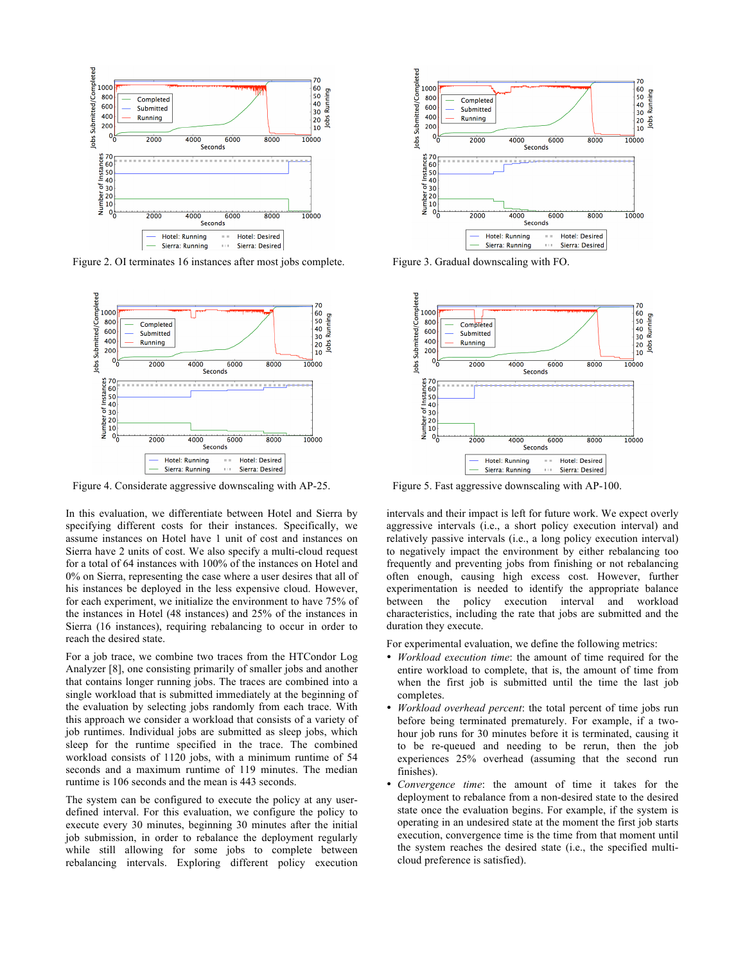

Figure 2. OI terminates 16 instances after most jobs complete. Figure 3. Gradual downscaling with FO.



Figure 4. Considerate aggressive downscaling with AP-25. Figure 5. Fast aggressive downscaling with AP-100.

In this evaluation, we differentiate between Hotel and Sierra by specifying different costs for their instances. Specifically, we assume instances on Hotel have 1 unit of cost and instances on Sierra have 2 units of cost. We also specify a multi-cloud request for a total of 64 instances with 100% of the instances on Hotel and 0% on Sierra, representing the case where a user desires that all of his instances be deployed in the less expensive cloud. However, for each experiment, we initialize the environment to have 75% of the instances in Hotel (48 instances) and 25% of the instances in Sierra (16 instances), requiring rebalancing to occur in order to reach the desired state.

For a job trace, we combine two traces from the HTCondor Log Analyzer [8], one consisting primarily of smaller jobs and another that contains longer running jobs. The traces are combined into a single workload that is submitted immediately at the beginning of the evaluation by selecting jobs randomly from each trace. With this approach we consider a workload that consists of a variety of job runtimes. Individual jobs are submitted as sleep jobs, which sleep for the runtime specified in the trace. The combined workload consists of 1120 jobs, with a minimum runtime of 54 seconds and a maximum runtime of 119 minutes. The median runtime is 106 seconds and the mean is 443 seconds.

The system can be configured to execute the policy at any userdefined interval. For this evaluation, we configure the policy to execute every 30 minutes, beginning 30 minutes after the initial job submission, in order to rebalance the deployment regularly while still allowing for some jobs to complete between rebalancing intervals. Exploring different policy execution





intervals and their impact is left for future work. We expect overly aggressive intervals (i.e., a short policy execution interval) and relatively passive intervals (i.e., a long policy execution interval) to negatively impact the environment by either rebalancing too frequently and preventing jobs from finishing or not rebalancing often enough, causing high excess cost. However, further experimentation is needed to identify the appropriate balance between the policy execution interval and workload characteristics, including the rate that jobs are submitted and the duration they execute.

For experimental evaluation, we define the following metrics:

- *Workload execution time*: the amount of time required for the entire workload to complete, that is, the amount of time from when the first job is submitted until the time the last job completes.
- *Workload overhead percent*: the total percent of time jobs run before being terminated prematurely. For example, if a twohour job runs for 30 minutes before it is terminated, causing it to be re-queued and needing to be rerun, then the job experiences 25% overhead (assuming that the second run finishes).
- *Convergence time*: the amount of time it takes for the deployment to rebalance from a non-desired state to the desired state once the evaluation begins. For example, if the system is operating in an undesired state at the moment the first job starts execution, convergence time is the time from that moment until the system reaches the desired state (i.e., the specified multicloud preference is satisfied).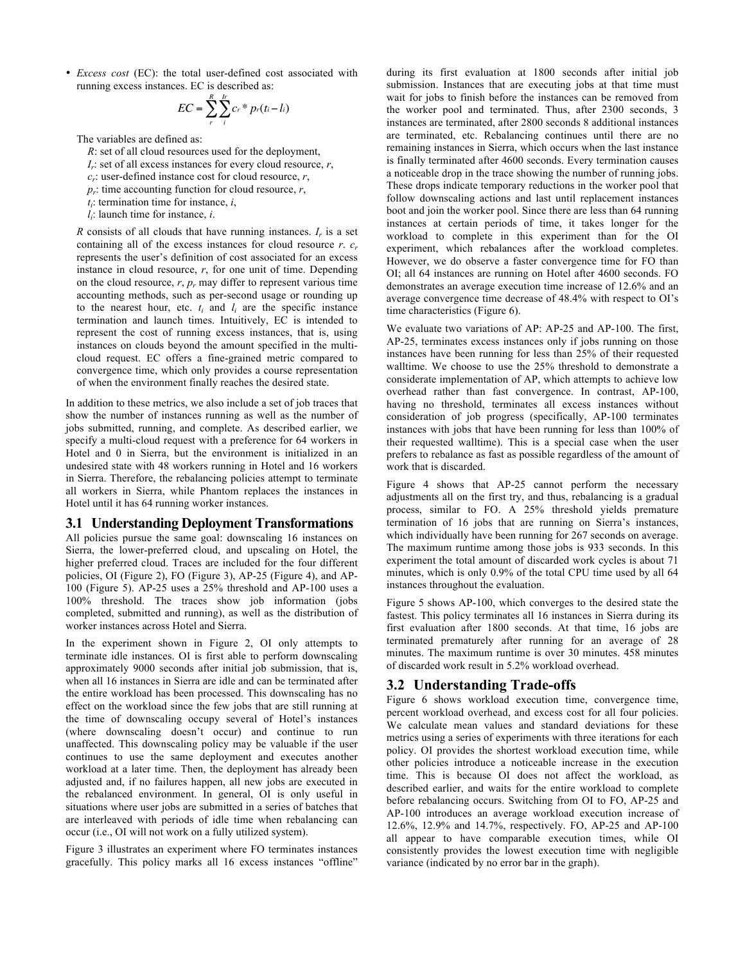• *Excess cost* (EC): the total user-defined cost associated with running excess instances. EC is described as:

$$
EC = \sum_{r}^{R} \sum_{i}^{lr} c_r * p_r(t_i - l_i)
$$

The variables are defined as:

- *R*: set of all cloud resources used for the deployment,
- *Ir*: set of all excess instances for every cloud resource, *r*,
- *cr*: user-defined instance cost for cloud resource, *r*,
- *pr*: time accounting function for cloud resource, *r*,
- *ti*: termination time for instance, *i*,
- *li*: launch time for instance, *i*.

*R* consists of all clouds that have running instances. *Ir* is a set containing all of the excess instances for cloud resource *r*. *cr* represents the user's definition of cost associated for an excess instance in cloud resource, *r*, for one unit of time. Depending on the cloud resource,  $r$ ,  $p_r$  may differ to represent various time accounting methods, such as per-second usage or rounding up to the nearest hour, etc.  $t_i$  and  $l_i$  are the specific instance termination and launch times. Intuitively, EC is intended to represent the cost of running excess instances, that is, using instances on clouds beyond the amount specified in the multicloud request. EC offers a fine-grained metric compared to convergence time, which only provides a course representation of when the environment finally reaches the desired state.

In addition to these metrics, we also include a set of job traces that show the number of instances running as well as the number of jobs submitted, running, and complete. As described earlier, we specify a multi-cloud request with a preference for 64 workers in Hotel and 0 in Sierra, but the environment is initialized in an undesired state with 48 workers running in Hotel and 16 workers in Sierra. Therefore, the rebalancing policies attempt to terminate all workers in Sierra, while Phantom replaces the instances in Hotel until it has 64 running worker instances.

## **3.1 Understanding Deployment Transformations**

All policies pursue the same goal: downscaling 16 instances on Sierra, the lower-preferred cloud, and upscaling on Hotel, the higher preferred cloud. Traces are included for the four different policies, OI (Figure 2), FO (Figure 3), AP-25 (Figure 4), and AP-100 (Figure 5). AP-25 uses a 25% threshold and AP-100 uses a 100% threshold. The traces show job information (jobs completed, submitted and running), as well as the distribution of worker instances across Hotel and Sierra.

In the experiment shown in Figure 2, OI only attempts to terminate idle instances. OI is first able to perform downscaling approximately 9000 seconds after initial job submission, that is, when all 16 instances in Sierra are idle and can be terminated after the entire workload has been processed. This downscaling has no effect on the workload since the few jobs that are still running at the time of downscaling occupy several of Hotel's instances (where downscaling doesn't occur) and continue to run unaffected. This downscaling policy may be valuable if the user continues to use the same deployment and executes another workload at a later time. Then, the deployment has already been adjusted and, if no failures happen, all new jobs are executed in the rebalanced environment. In general, OI is only useful in situations where user jobs are submitted in a series of batches that are interleaved with periods of idle time when rebalancing can occur (i.e., OI will not work on a fully utilized system).

Figure 3 illustrates an experiment where FO terminates instances gracefully. This policy marks all 16 excess instances "offline"

during its first evaluation at 1800 seconds after initial job submission. Instances that are executing jobs at that time must wait for jobs to finish before the instances can be removed from the worker pool and terminated. Thus, after 2300 seconds, 3 instances are terminated, after 2800 seconds 8 additional instances are terminated, etc. Rebalancing continues until there are no remaining instances in Sierra, which occurs when the last instance is finally terminated after 4600 seconds. Every termination causes a noticeable drop in the trace showing the number of running jobs. These drops indicate temporary reductions in the worker pool that follow downscaling actions and last until replacement instances boot and join the worker pool. Since there are less than 64 running instances at certain periods of time, it takes longer for the workload to complete in this experiment than for the OI experiment, which rebalances after the workload completes. However, we do observe a faster convergence time for FO than OI; all 64 instances are running on Hotel after 4600 seconds. FO demonstrates an average execution time increase of 12.6% and an average convergence time decrease of 48.4% with respect to OI's time characteristics (Figure 6).

We evaluate two variations of AP: AP-25 and AP-100. The first, AP-25, terminates excess instances only if jobs running on those instances have been running for less than 25% of their requested walltime. We choose to use the 25% threshold to demonstrate a considerate implementation of AP, which attempts to achieve low overhead rather than fast convergence. In contrast, AP-100, having no threshold, terminates all excess instances without consideration of job progress (specifically, AP-100 terminates instances with jobs that have been running for less than 100% of their requested walltime). This is a special case when the user prefers to rebalance as fast as possible regardless of the amount of work that is discarded.

Figure 4 shows that AP-25 cannot perform the necessary adjustments all on the first try, and thus, rebalancing is a gradual process, similar to FO. A 25% threshold yields premature termination of 16 jobs that are running on Sierra's instances, which individually have been running for 267 seconds on average. The maximum runtime among those jobs is 933 seconds. In this experiment the total amount of discarded work cycles is about 71 minutes, which is only 0.9% of the total CPU time used by all 64 instances throughout the evaluation.

Figure 5 shows AP-100, which converges to the desired state the fastest. This policy terminates all 16 instances in Sierra during its first evaluation after 1800 seconds. At that time, 16 jobs are terminated prematurely after running for an average of 28 minutes. The maximum runtime is over 30 minutes. 458 minutes of discarded work result in 5.2% workload overhead.

# **3.2 Understanding Trade-offs**

Figure 6 shows workload execution time, convergence time, percent workload overhead, and excess cost for all four policies. We calculate mean values and standard deviations for these metrics using a series of experiments with three iterations for each policy. OI provides the shortest workload execution time, while other policies introduce a noticeable increase in the execution time. This is because OI does not affect the workload, as described earlier, and waits for the entire workload to complete before rebalancing occurs. Switching from OI to FO, AP-25 and AP-100 introduces an average workload execution increase of 12.6%, 12.9% and 14.7%, respectively. FO, AP-25 and AP-100 all appear to have comparable execution times, while OI consistently provides the lowest execution time with negligible variance (indicated by no error bar in the graph).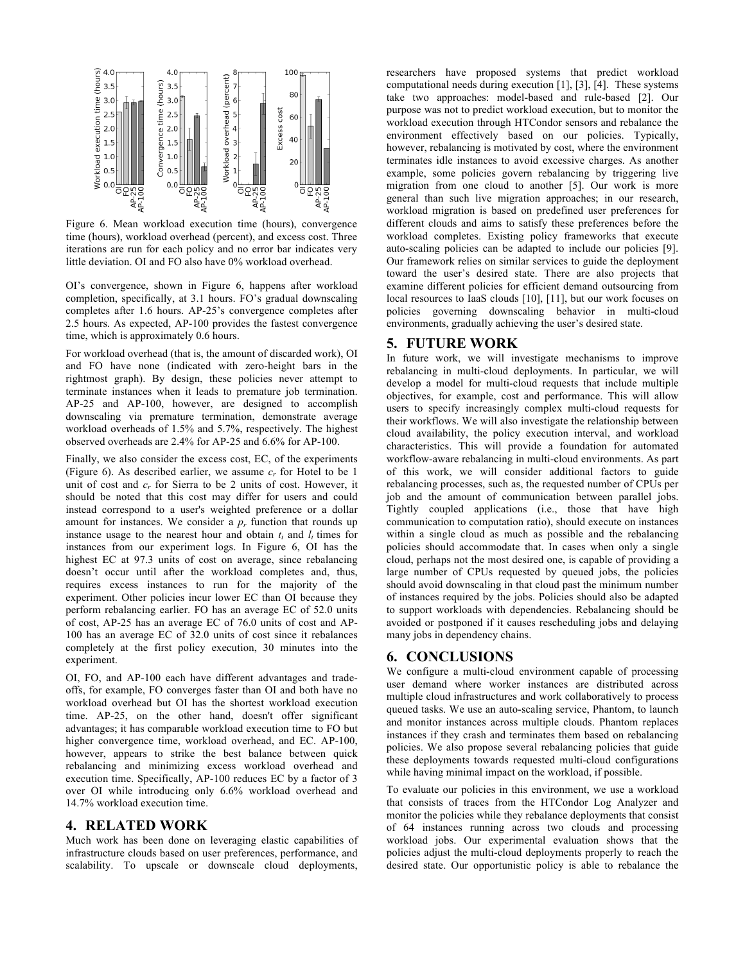

Figure 6. Mean workload execution time (hours), convergence time (hours), workload overhead (percent), and excess cost. Three iterations are run for each policy and no error bar indicates very little deviation. OI and FO also have 0% workload overhead.

OI's convergence, shown in Figure 6, happens after workload completion, specifically, at 3.1 hours. FO's gradual downscaling completes after 1.6 hours. AP-25's convergence completes after 2.5 hours. As expected, AP-100 provides the fastest convergence time, which is approximately 0.6 hours.

For workload overhead (that is, the amount of discarded work), OI and FO have none (indicated with zero-height bars in the rightmost graph). By design, these policies never attempt to terminate instances when it leads to premature job termination. AP-25 and AP-100, however, are designed to accomplish downscaling via premature termination, demonstrate average workload overheads of 1.5% and 5.7%, respectively. The highest observed overheads are 2.4% for AP-25 and 6.6% for AP-100.

Finally, we also consider the excess cost, EC, of the experiments (Figure 6). As described earlier, we assume *cr* for Hotel to be 1 unit of cost and  $c_r$  for Sierra to be 2 units of cost. However, it should be noted that this cost may differ for users and could instead correspond to a user's weighted preference or a dollar amount for instances. We consider a  $p_r$  function that rounds up instance usage to the nearest hour and obtain  $t_i$  and  $l_i$  times for instances from our experiment logs. In Figure 6, OI has the highest EC at 97.3 units of cost on average, since rebalancing doesn't occur until after the workload completes and, thus, requires excess instances to run for the majority of the experiment. Other policies incur lower EC than OI because they perform rebalancing earlier. FO has an average EC of 52.0 units of cost, AP-25 has an average EC of 76.0 units of cost and AP-100 has an average EC of 32.0 units of cost since it rebalances completely at the first policy execution, 30 minutes into the experiment.

OI, FO, and AP-100 each have different advantages and tradeoffs, for example, FO converges faster than OI and both have no workload overhead but OI has the shortest workload execution time. AP-25, on the other hand, doesn't offer significant advantages; it has comparable workload execution time to FO but higher convergence time, workload overhead, and EC. AP-100, however, appears to strike the best balance between quick rebalancing and minimizing excess workload overhead and execution time. Specifically, AP-100 reduces EC by a factor of 3 over OI while introducing only 6.6% workload overhead and 14.7% workload execution time.

## **4. RELATED WORK**

Much work has been done on leveraging elastic capabilities of infrastructure clouds based on user preferences, performance, and scalability. To upscale or downscale cloud deployments, researchers have proposed systems that predict workload computational needs during execution [1], [3], [4]. These systems take two approaches: model-based and rule-based [2]. Our purpose was not to predict workload execution, but to monitor the workload execution through HTCondor sensors and rebalance the environment effectively based on our policies. Typically, however, rebalancing is motivated by cost, where the environment terminates idle instances to avoid excessive charges. As another example, some policies govern rebalancing by triggering live migration from one cloud to another [5]. Our work is more general than such live migration approaches; in our research, workload migration is based on predefined user preferences for different clouds and aims to satisfy these preferences before the workload completes. Existing policy frameworks that execute auto-scaling policies can be adapted to include our policies [9]. Our framework relies on similar services to guide the deployment toward the user's desired state. There are also projects that examine different policies for efficient demand outsourcing from local resources to IaaS clouds [10], [11], but our work focuses on policies governing downscaling behavior in multi-cloud environments, gradually achieving the user's desired state.

## **5. FUTURE WORK**

In future work, we will investigate mechanisms to improve rebalancing in multi-cloud deployments. In particular, we will develop a model for multi-cloud requests that include multiple objectives, for example, cost and performance. This will allow users to specify increasingly complex multi-cloud requests for their workflows. We will also investigate the relationship between cloud availability, the policy execution interval, and workload characteristics. This will provide a foundation for automated workflow-aware rebalancing in multi-cloud environments. As part of this work, we will consider additional factors to guide rebalancing processes, such as, the requested number of CPUs per job and the amount of communication between parallel jobs. Tightly coupled applications (i.e., those that have high communication to computation ratio), should execute on instances within a single cloud as much as possible and the rebalancing policies should accommodate that. In cases when only a single cloud, perhaps not the most desired one, is capable of providing a large number of CPUs requested by queued jobs, the policies should avoid downscaling in that cloud past the minimum number of instances required by the jobs. Policies should also be adapted to support workloads with dependencies. Rebalancing should be avoided or postponed if it causes rescheduling jobs and delaying many jobs in dependency chains.

## **6. CONCLUSIONS**

We configure a multi-cloud environment capable of processing user demand where worker instances are distributed across multiple cloud infrastructures and work collaboratively to process queued tasks. We use an auto-scaling service, Phantom, to launch and monitor instances across multiple clouds. Phantom replaces instances if they crash and terminates them based on rebalancing policies. We also propose several rebalancing policies that guide these deployments towards requested multi-cloud configurations while having minimal impact on the workload, if possible.

To evaluate our policies in this environment, we use a workload that consists of traces from the HTCondor Log Analyzer and monitor the policies while they rebalance deployments that consist of 64 instances running across two clouds and processing workload jobs. Our experimental evaluation shows that the policies adjust the multi-cloud deployments properly to reach the desired state. Our opportunistic policy is able to rebalance the